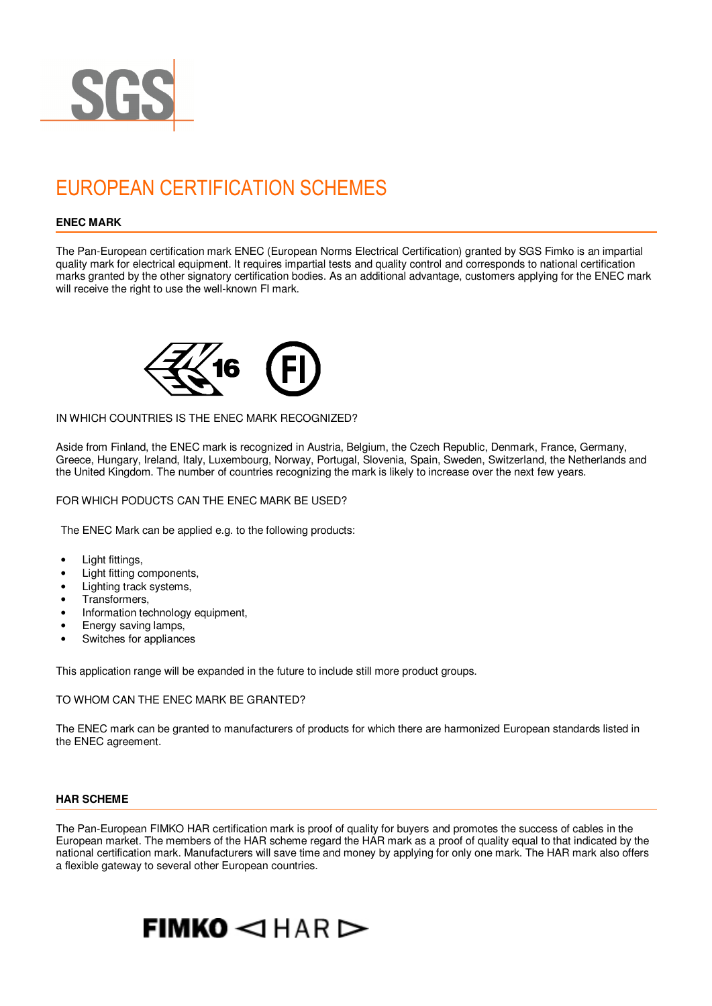

# EUROPEAN CERTIFICATION SCHEMES

# **ENEC MARK**

The Pan-European certification mark ENEC (European Norms Electrical Certification) granted by SGS Fimko is an impartial quality mark for electrical equipment. It requires impartial tests and quality control and corresponds to national certification marks granted by the other signatory certification bodies. As an additional advantage, customers applying for the ENEC mark will receive the right to use the well-known FI mark.



# IN WHICH COUNTRIES IS THE ENEC MARK RECOGNIZED?

Aside from Finland, the ENEC mark is recognized in Austria, Belgium, the Czech Republic, Denmark, France, Germany, Greece, Hungary, Ireland, Italy, Luxembourg, Norway, Portugal, Slovenia, Spain, Sweden, Switzerland, the Netherlands and the United Kingdom. The number of countries recognizing the mark is likely to increase over the next few years.

FOR WHICH PODUCTS CAN THE ENEC MARK BE USED?

The ENEC Mark can be applied e.g. to the following products:

- Light fittings,
- Light fitting components,
- Lighting track systems,
- Transformers,
- Information technology equipment,
- Energy saving lamps,
- Switches for appliances

This application range will be expanded in the future to include still more product groups.

# TO WHOM CAN THE ENEC MARK BE GRANTED?

The ENEC mark can be granted to manufacturers of products for which there are harmonized European standards listed in the ENEC agreement.

#### **HAR SCHEME**

The Pan-European FIMKO HAR certification mark is proof of quality for buyers and promotes the success of cables in the European market. The members of the HAR scheme regard the HAR mark as a proof of quality equal to that indicated by the national certification mark. Manufacturers will save time and money by applying for only one mark. The HAR mark also offers a flexible gateway to several other European countries.

# $FIMKO < HAR$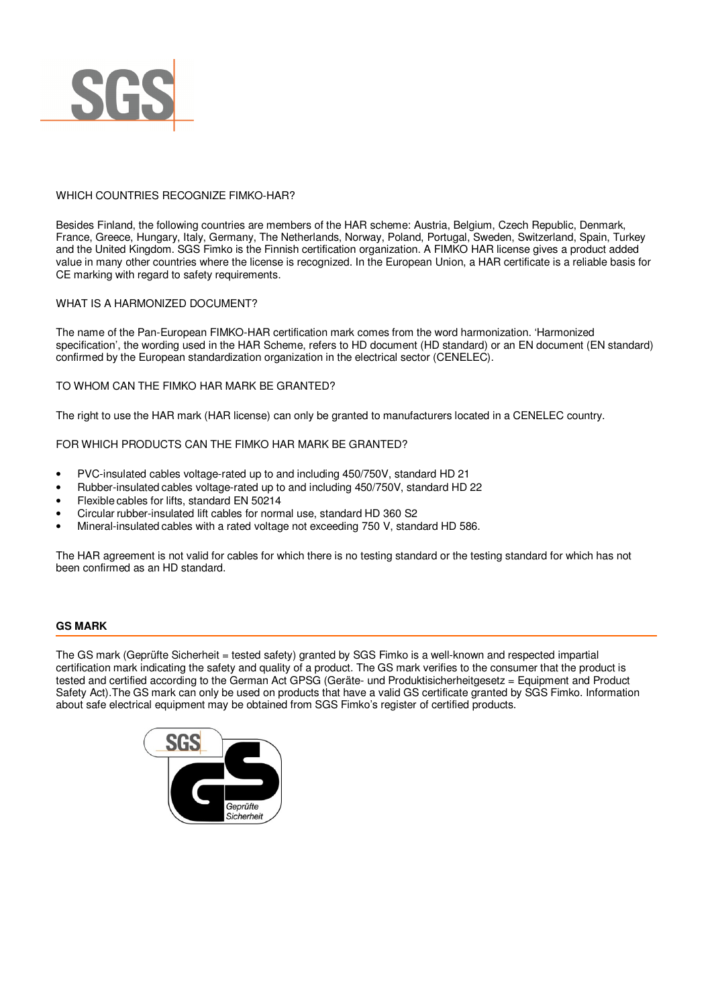

# WHICH COUNTRIES RECOGNIZE FIMKO-HAR?

Besides Finland, the following countries are members of the HAR scheme: Austria, Belgium, Czech Republic, Denmark, France, Greece, Hungary, Italy, Germany, The Netherlands, Norway, Poland, Portugal, Sweden, Switzerland, Spain, Turkey and the United Kingdom. SGS Fimko is the Finnish certification organization. A FIMKO HAR license gives a product added value in many other countries where the license is recognized. In the European Union, a HAR certificate is a reliable basis for CE marking with regard to safety requirements.

# WHAT IS A HARMONIZED DOCUMENT?

The name of the Pan-European FIMKO-HAR certification mark comes from the word harmonization. 'Harmonized specification', the wording used in the HAR Scheme, refers to HD document (HD standard) or an EN document (EN standard) confirmed by the European standardization organization in the electrical sector (CENELEC).

# TO WHOM CAN THE FIMKO HAR MARK BE GRANTED?

The right to use the HAR mark (HAR license) can only be granted to manufacturers located in a CENELEC country.

FOR WHICH PRODUCTS CAN THE FIMKO HAR MARK BE GRANTED?

- PVC-insulated cables voltage-rated up to and including 450/750V, standard HD 21
- Rubber-insulated cables voltage-rated up to and including 450/750V, standard HD 22
- Flexible cables for lifts, standard EN 50214
- Circular rubber-insulated lift cables for normal use, standard HD 360 S2
- Mineral-insulated cables with a rated voltage not exceeding 750 V, standard HD 586.

The HAR agreement is not valid for cables for which there is no testing standard or the testing standard for which has not been confirmed as an HD standard.

# **GS MARK**

The GS mark (Geprüfte Sicherheit = tested safety) granted by SGS Fimko is a well-known and respected impartial certification mark indicating the safety and quality of a product. The GS mark verifies to the consumer that the product is tested and certified according to the German Act GPSG (Geräte- und Produktisicherheitgesetz = Equipment and Product Safety Act).The GS mark can only be used on products that have a valid GS certificate granted by SGS Fimko. Information about safe electrical equipment may be obtained from SGS Fimko's register of certified products.